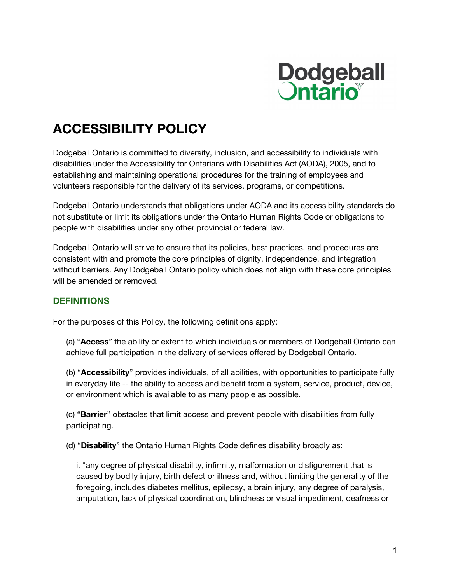

# **ACCESSIBILITY POLICY**

Dodgeball Ontario is committed to diversity, inclusion, and accessibility to individuals with disabilities under the Accessibility for Ontarians with Disabilities Act (AODA), 2005, and to establishing and maintaining operational procedures for the training of employees and volunteers responsible for the delivery of its services, programs, or competitions.

Dodgeball Ontario understands that obligations under AODA and its accessibility standards do not substitute or limit its obligations under the Ontario Human Rights Code or obligations to people with disabilities under any other provincial or federal law.

Dodgeball Ontario will strive to ensure that its policies, best practices, and procedures are consistent with and promote the core principles of dignity, independence, and integration without barriers. Any Dodgeball Ontario policy which does not align with these core principles will be amended or removed.

## **DEFINITIONS**

For the purposes of this Policy, the following definitions apply:

(a) "**Access**" the ability or extent to which individuals or members of Dodgeball Ontario can achieve full participation in the delivery of services offered by Dodgeball Ontario.

(b) "**Accessibility**" provides individuals, of all abilities, with opportunities to participate fully in everyday life -- the ability to access and benefit from a system, service, product, device, or environment which is available to as many people as possible.

(c) "**Barrier**" obstacles that limit access and prevent people with disabilities from fully participating.

(d) "**Disability**" the Ontario Human Rights Code defines disability broadly as:

i. "any degree of physical disability, infirmity, malformation or disfigurement that is caused by bodily injury, birth defect or illness and, without limiting the generality of the foregoing, includes diabetes mellitus, epilepsy, a brain injury, any degree of paralysis, amputation, lack of physical coordination, blindness or visual impediment, deafness or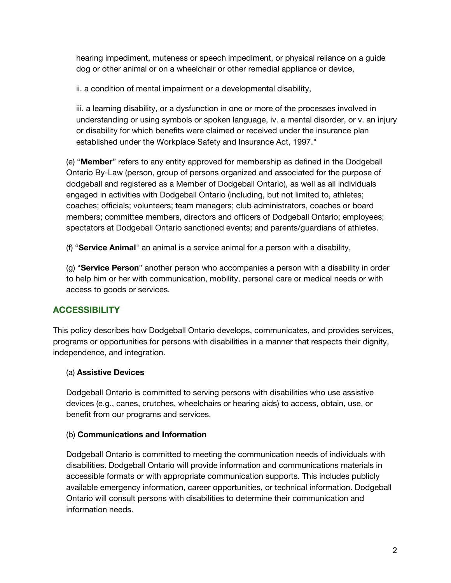hearing impediment, muteness or speech impediment, or physical reliance on a guide dog or other animal or on a wheelchair or other remedial appliance or device,

ii. a condition of mental impairment or a developmental disability,

iii. a learning disability, or a dysfunction in one or more of the processes involved in understanding or using symbols or spoken language, iv. a mental disorder, or v. an injury or disability for which benefits were claimed or received under the insurance plan established under the Workplace Safety and Insurance Act, 1997."

(e) "**Member**" refers to any entity approved for membership as defined in the Dodgeball Ontario By-Law (person, group of persons organized and associated for the purpose of dodgeball and registered as a Member of Dodgeball Ontario), as well as all individuals engaged in activities with Dodgeball Ontario (including, but not limited to, athletes; coaches; officials; volunteers; team managers; club administrators, coaches or board members; committee members, directors and officers of Dodgeball Ontario; employees; spectators at Dodgeball Ontario sanctioned events; and parents/guardians of athletes.

(f) "**Service Animal**" an animal is a service animal for a person with a disability,

(g) "**Service Person**" another person who accompanies a person with a disability in order to help him or her with communication, mobility, personal care or medical needs or with access to goods or services.

# **ACCESSIBILITY**

This policy describes how Dodgeball Ontario develops, communicates, and provides services, programs or opportunities for persons with disabilities in a manner that respects their dignity, independence, and integration.

## (a) **Assistive Devices**

Dodgeball Ontario is committed to serving persons with disabilities who use assistive devices (e.g., canes, crutches, wheelchairs or hearing aids) to access, obtain, use, or benefit from our programs and services.

## (b) **Communications and Information**

Dodgeball Ontario is committed to meeting the communication needs of individuals with disabilities. Dodgeball Ontario will provide information and communications materials in accessible formats or with appropriate communication supports. This includes publicly available emergency information, career opportunities, or technical information. Dodgeball Ontario will consult persons with disabilities to determine their communication and information needs.